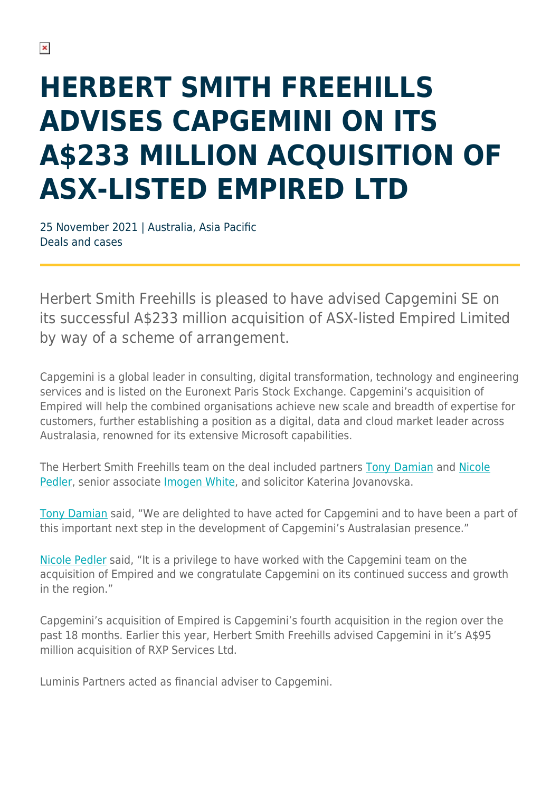## **HERBERT SMITH FREEHILLS ADVISES CAPGEMINI ON ITS A\$233 MILLION ACQUISITION OF ASX-LISTED EMPIRED LTD**

25 November 2021 | Australia, Asia Pacific Deals and cases

Herbert Smith Freehills is pleased to have advised Capgemini SE on its successful A\$233 million acquisition of ASX-listed Empired Limited by way of a scheme of arrangement.

Capgemini is a global leader in consulting, digital transformation, technology and engineering services and is listed on the Euronext Paris Stock Exchange. Capgemini's acquisition of Empired will help the combined organisations achieve new scale and breadth of expertise for customers, further establishing a position as a digital, data and cloud market leader across Australasia, renowned for its extensive Microsoft capabilities.

The Herbert Smith Freehills team on the deal included partners [Tony Damian](https://www.herbertsmithfreehills.com/our-people/tony-damian) and [Nicole](https://www.herbertsmithfreehills.com/our-people/nicole-pedler) [Pedler,](https://www.herbertsmithfreehills.com/our-people/nicole-pedler) senior associate [Imogen White,](https://www.herbertsmithfreehills.com/our-people/imogen-white) and solicitor Katerina Jovanovska.

[Tony Damian](https://www.herbertsmithfreehills.com/our-people/tony-damian) said, "We are delighted to have acted for Capgemini and to have been a part of this important next step in the development of Capgemini's Australasian presence."

[Nicole Pedler](https://www.herbertsmithfreehills.com/our-people/nicole-pedler) said, "It is a privilege to have worked with the Capgemini team on the acquisition of Empired and we congratulate Capgemini on its continued success and growth in the region."

Capgemini's acquisition of Empired is Capgemini's fourth acquisition in the region over the past 18 months. Earlier this year, Herbert Smith Freehills advised Capgemini in it's A\$95 million acquisition of RXP Services Ltd.

Luminis Partners acted as financial adviser to Capgemini.